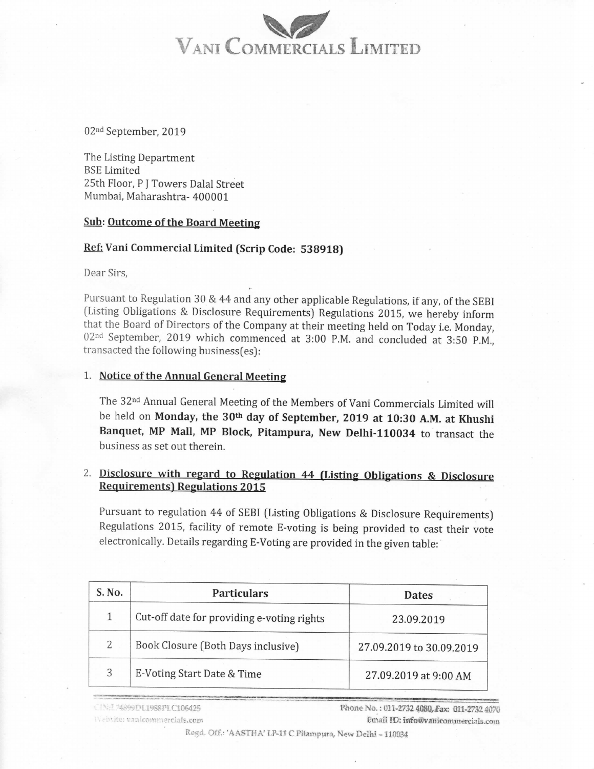## VANI COMMERCIALS LIMITED

02nd September, 2019

The Listing Department BSE Limited 25th Floor, <sup>P</sup> I Towers Dalal Street Mumbai, Maharashtra- 400001

#### Sub: Outcome of the Board Meeting

#### Ref: Vani Commercial Limited (Scrip Code: 538918)

Dear Sirs,

Pursuant to Regulation <sup>30</sup> & <sup>44</sup> and any other applicable Regulations, if any, of the SEBI (Listing Obligations & Disclosure Requirements) Regulations 2015, we hereby inform that the Board of Directors of the Company at their meeting held on Today i.e. Monday,  $02<sup>nd</sup>$  September, 2019 which commenced at 3:00 P.M. and concluded at 3:50 P.M., transacted the following business[es):

#### 1. Notice of the Annual General Meeting

The 32nd Annual General Meeting of the Members of Vani Commercials Limited will be held on Monday, the 30<sup>th</sup> day of September, 2019 at 10:30 A.M. at Khushi Banquet, MP Mall, MP Block, Pitampura, New Delhi-110034 to transact the business as set out therein.

### 2. Disclosure with regard to Regulation <sup>44</sup> [Listing Obligations & Disclosure Requirements) Regulations 2015

Pursuant to regulation 44 of SEBI (Listing Obligations & Disclosure Requirements) Regulations 2015, facility of remote E-voting is being provided to cast their vote electronically. Details regarding E-Voting are provided in the given table:

| S. No. | <b>Particulars</b>                         | <b>Dates</b>             |
|--------|--------------------------------------------|--------------------------|
| 1      | Cut-off date for providing e-voting rights | 23.09.2019               |
| 2      | Book Closure (Both Days inclusive)         | 27.09.2019 to 30.09.2019 |
| 3      | E-Voting Start Date & Time                 | 27.09.2019 at 9:00 AM    |

CINE 74899DL1988PLC106425 Website: vanicommercials.com Phone No.: 011-2732 4080, Fax: 011-2732 4070 Email ID: info@vanicommercials.com

Regd. Off.: 'AASTHA' LP-11 C Pitampura, New Delhi - 110034